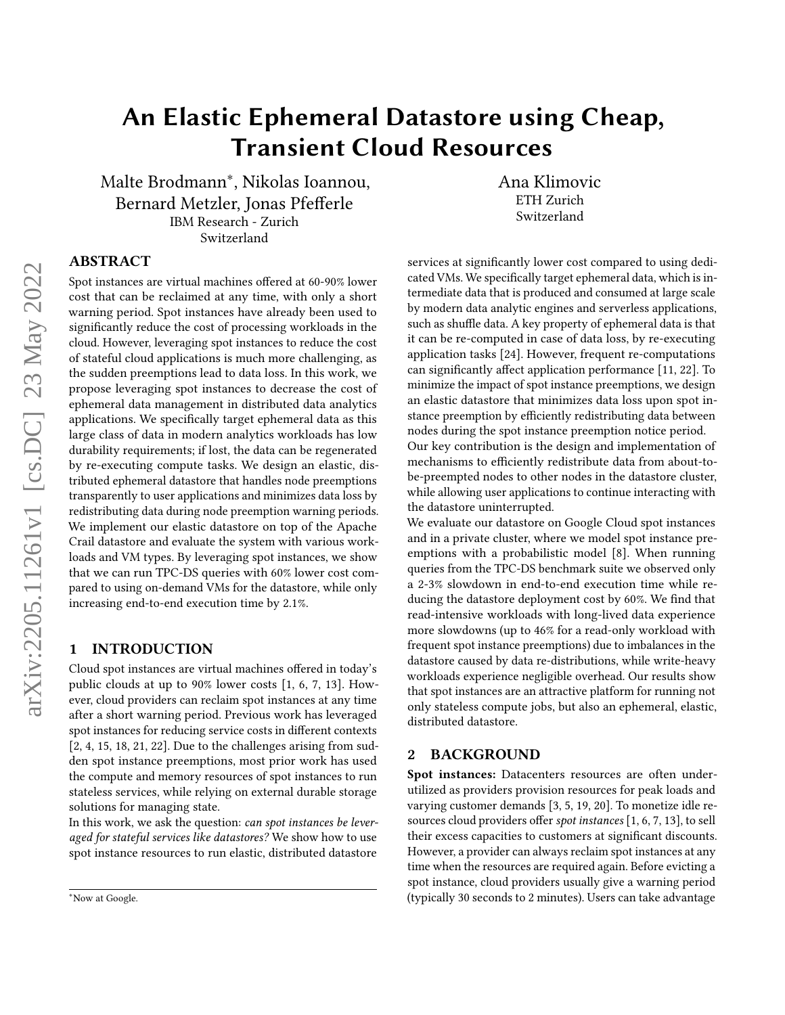# An Elastic Ephemeral Datastore using Cheap, Transient Cloud Resources

Malte Brodmann<sup>∗</sup> , Nikolas Ioannou, Bernard Metzler, Jonas Pfefferle IBM Research - Zurich Switzerland

Ana Klimovic ETH Zurich Switzerland

# ABSTRACT

Spot instances are virtual machines offered at 60-90% lower cost that can be reclaimed at any time, with only a short warning period. Spot instances have already been used to significantly reduce the cost of processing workloads in the cloud. However, leveraging spot instances to reduce the cost of stateful cloud applications is much more challenging, as the sudden preemptions lead to data loss. In this work, we propose leveraging spot instances to decrease the cost of ephemeral data management in distributed data analytics applications. We specifically target ephemeral data as this large class of data in modern analytics workloads has low durability requirements; if lost, the data can be regenerated by re-executing compute tasks. We design an elastic, distributed ephemeral datastore that handles node preemptions transparently to user applications and minimizes data loss by redistributing data during node preemption warning periods. We implement our elastic datastore on top of the Apache Crail datastore and evaluate the system with various workloads and VM types. By leveraging spot instances, we show that we can run TPC-DS queries with 60% lower cost compared to using on-demand VMs for the datastore, while only increasing end-to-end execution time by 2.1%.

#### 1 INTRODUCTION

Cloud spot instances are virtual machines offered in today's public clouds at up to 90% lower costs [\[1,](#page-5-0) [6,](#page-5-1) [7,](#page-5-2) [13\]](#page-5-3). However, cloud providers can reclaim spot instances at any time after a short warning period. Previous work has leveraged spot instances for reducing service costs in different contexts [\[2,](#page-5-4) [4,](#page-5-5) [15,](#page-5-6) [18,](#page-5-7) [21,](#page-5-8) [22\]](#page-5-9). Due to the challenges arising from sudden spot instance preemptions, most prior work has used the compute and memory resources of spot instances to run stateless services, while relying on external durable storage solutions for managing state.

In this work, we ask the question: can spot instances be leveraged for stateful services like datastores? We show how to use spot instance resources to run elastic, distributed datastore

services at significantly lower cost compared to using dedicated VMs. We specifically target ephemeral data, which is intermediate data that is produced and consumed at large scale by modern data analytic engines and serverless applications, such as shuffle data. A key property of ephemeral data is that it can be re-computed in case of data loss, by re-executing application tasks [\[24\]](#page-5-10). However, frequent re-computations can significantly affect application performance [\[11,](#page-5-11) [22\]](#page-5-9). To minimize the impact of spot instance preemptions, we design an elastic datastore that minimizes data loss upon spot instance preemption by efficiently redistributing data between nodes during the spot instance preemption notice period.

Our key contribution is the design and implementation of mechanisms to efficiently redistribute data from about-tobe-preempted nodes to other nodes in the datastore cluster, while allowing user applications to continue interacting with the datastore uninterrupted.

We evaluate our datastore on Google Cloud spot instances and in a private cluster, where we model spot instance preemptions with a probabilistic model [\[8\]](#page-5-12). When running queries from the TPC-DS benchmark suite we observed only a 2-3% slowdown in end-to-end execution time while reducing the datastore deployment cost by 60%. We find that read-intensive workloads with long-lived data experience more slowdowns (up to 46% for a read-only workload with frequent spot instance preemptions) due to imbalances in the datastore caused by data re-distributions, while write-heavy workloads experience negligible overhead. Our results show that spot instances are an attractive platform for running not only stateless compute jobs, but also an ephemeral, elastic, distributed datastore.

## 2 BACKGROUND

Spot instances: Datacenters resources are often underutilized as providers provision resources for peak loads and varying customer demands [\[3,](#page-5-13) [5,](#page-5-14) [19,](#page-5-15) [20\]](#page-5-16). To monetize idle resources cloud providers offer spot instances [\[1,](#page-5-0) [6,](#page-5-1) [7,](#page-5-2) [13\]](#page-5-3), to sell their excess capacities to customers at significant discounts. However, a provider can always reclaim spot instances at any time when the resources are required again. Before evicting a spot instance, cloud providers usually give a warning period (typically 30 seconds to 2 minutes). Users can take advantage

<sup>∗</sup>Now at Google.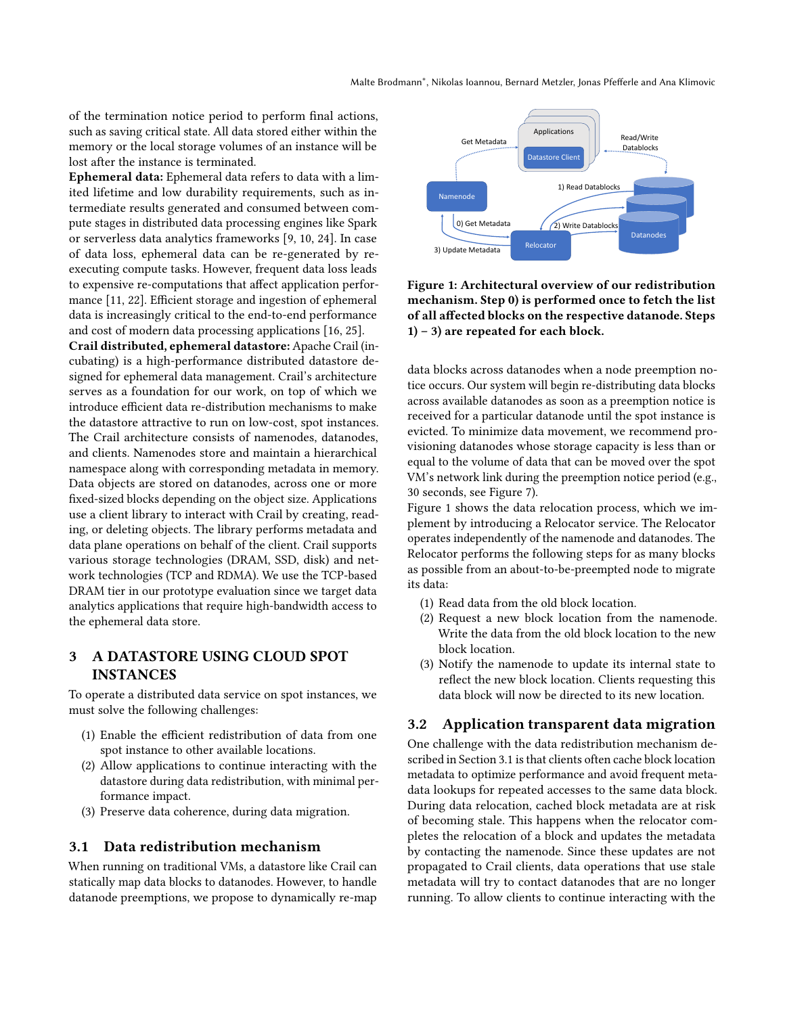of the termination notice period to perform final actions, such as saving critical state. All data stored either within the memory or the local storage volumes of an instance will be lost after the instance is terminated.

Ephemeral data: Ephemeral data refers to data with a limited lifetime and low durability requirements, such as intermediate results generated and consumed between compute stages in distributed data processing engines like Spark or serverless data analytics frameworks [\[9,](#page-5-17) [10,](#page-5-18) [24\]](#page-5-10). In case of data loss, ephemeral data can be re-generated by reexecuting compute tasks. However, frequent data loss leads to expensive re-computations that affect application performance [\[11,](#page-5-11) [22\]](#page-5-9). Efficient storage and ingestion of ephemeral data is increasingly critical to the end-to-end performance and cost of modern data processing applications [\[16,](#page-5-19) [25\]](#page-5-20).

Crail distributed, ephemeral datastore: Apache Crail (incubating) is a high-performance distributed datastore designed for ephemeral data management. Crail's architecture serves as a foundation for our work, on top of which we introduce efficient data re-distribution mechanisms to make the datastore attractive to run on low-cost, spot instances. The Crail architecture consists of namenodes, datanodes, and clients. Namenodes store and maintain a hierarchical namespace along with corresponding metadata in memory. Data objects are stored on datanodes, across one or more fixed-sized blocks depending on the object size. Applications use a client library to interact with Crail by creating, reading, or deleting objects. The library performs metadata and data plane operations on behalf of the client. Crail supports various storage technologies (DRAM, SSD, disk) and network technologies (TCP and RDMA). We use the TCP-based DRAM tier in our prototype evaluation since we target data analytics applications that require high-bandwidth access to the ephemeral data store.

# 3 A DATASTORE USING CLOUD SPOT INSTANCES

To operate a distributed data service on spot instances, we must solve the following challenges:

- (1) Enable the efficient redistribution of data from one spot instance to other available locations.
- (2) Allow applications to continue interacting with the datastore during data redistribution, with minimal performance impact.
- (3) Preserve data coherence, during data migration.

## <span id="page-1-1"></span>3.1 Data redistribution mechanism

When running on traditional VMs, a datastore like Crail can statically map data blocks to datanodes. However, to handle datanode preemptions, we propose to dynamically re-map

<span id="page-1-0"></span>

Figure 1: Architectural overview of our redistribution mechanism. Step 0) is performed once to fetch the list of all affected blocks on the respective datanode. Steps  $1) - 3$ ) are repeated for each block.

data blocks across datanodes when a node preemption notice occurs. Our system will begin re-distributing data blocks across available datanodes as soon as a preemption notice is received for a particular datanode until the spot instance is evicted. To minimize data movement, we recommend provisioning datanodes whose storage capacity is less than or equal to the volume of data that can be moved over the spot VM's network link during the preemption notice period (e.g., 30 seconds, see Figure [7\)](#page-4-0).

Figure [1](#page-1-0) shows the data relocation process, which we implement by introducing a Relocator service. The Relocator operates independently of the namenode and datanodes. The Relocator performs the following steps for as many blocks as possible from an about-to-be-preempted node to migrate its data:

- (1) Read data from the old block location.
- (2) Request a new block location from the namenode. Write the data from the old block location to the new block location.
- (3) Notify the namenode to update its internal state to reflect the new block location. Clients requesting this data block will now be directed to its new location.

## 3.2 Application transparent data migration

One challenge with the data redistribution mechanism described in Section [3.1](#page-1-1) is that clients often cache block location metadata to optimize performance and avoid frequent metadata lookups for repeated accesses to the same data block. During data relocation, cached block metadata are at risk of becoming stale. This happens when the relocator completes the relocation of a block and updates the metadata by contacting the namenode. Since these updates are not propagated to Crail clients, data operations that use stale metadata will try to contact datanodes that are no longer running. To allow clients to continue interacting with the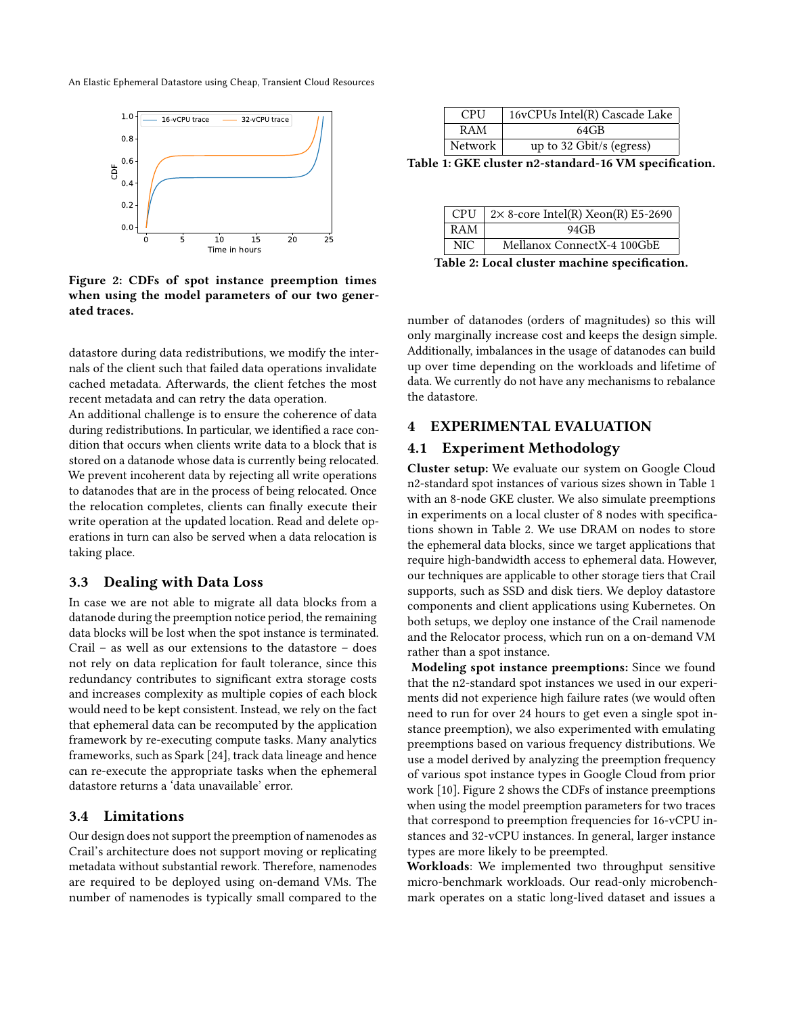An Elastic Ephemeral Datastore using Cheap, Transient Cloud Resources



Figure 2: CDFs of spot instance preemption times when using the model parameters of our two generated traces.

datastore during data redistributions, we modify the internals of the client such that failed data operations invalidate cached metadata. Afterwards, the client fetches the most recent metadata and can retry the data operation.

An additional challenge is to ensure the coherence of data during redistributions. In particular, we identified a race condition that occurs when clients write data to a block that is stored on a datanode whose data is currently being relocated. We prevent incoherent data by rejecting all write operations to datanodes that are in the process of being relocated. Once the relocation completes, clients can finally execute their write operation at the updated location. Read and delete operations in turn can also be served when a data relocation is taking place.

## 3.3 Dealing with Data Loss

In case we are not able to migrate all data blocks from a datanode during the preemption notice period, the remaining data blocks will be lost when the spot instance is terminated. Crail – as well as our extensions to the datastore – does not rely on data replication for fault tolerance, since this redundancy contributes to significant extra storage costs and increases complexity as multiple copies of each block would need to be kept consistent. Instead, we rely on the fact that ephemeral data can be recomputed by the application framework by re-executing compute tasks. Many analytics frameworks, such as Spark [\[24\]](#page-5-10), track data lineage and hence can re-execute the appropriate tasks when the ephemeral datastore returns a 'data unavailable' error.

## 3.4 Limitations

Our design does not support the preemption of namenodes as Crail's architecture does not support moving or replicating metadata without substantial rework. Therefore, namenodes are required to be deployed using on-demand VMs. The number of namenodes is typically small compared to the

<span id="page-2-0"></span>

| <b>CPU</b> | 16vCPUs Intel(R) Cascade Lake |
|------------|-------------------------------|
| RAM        | $64$ GB                       |
| Network    | up to 32 Gbit/s (egress)      |

Table 1: GKE cluster n2-standard-16 VM specification.

<span id="page-2-1"></span>

| <b>NIC</b>                                        | Mellanox ConnectX-4 100GbE |  |
|---------------------------------------------------|----------------------------|--|
| RAM<br>94GB                                       |                            |  |
| CPU   $2 \times 8$ -core Intel(R) Xeon(R) E5-2690 |                            |  |

Table 2: Local cluster machine specification.

number of datanodes (orders of magnitudes) so this will only marginally increase cost and keeps the design simple. Additionally, imbalances in the usage of datanodes can build up over time depending on the workloads and lifetime of data. We currently do not have any mechanisms to rebalance the datastore.

## 4 EXPERIMENTAL EVALUATION

#### 4.1 Experiment Methodology

Cluster setup: We evaluate our system on Google Cloud n2-standard spot instances of various sizes shown in Table [1](#page-2-0) with an 8-node GKE cluster. We also simulate preemptions in experiments on a local cluster of 8 nodes with specifications shown in Table [2.](#page-2-1) We use DRAM on nodes to store the ephemeral data blocks, since we target applications that require high-bandwidth access to ephemeral data. However, our techniques are applicable to other storage tiers that Crail supports, such as SSD and disk tiers. We deploy datastore components and client applications using Kubernetes. On both setups, we deploy one instance of the Crail namenode and the Relocator process, which run on a on-demand VM rather than a spot instance.

Modeling spot instance preemptions: Since we found that the n2-standard spot instances we used in our experiments did not experience high failure rates (we would often need to run for over 24 hours to get even a single spot instance preemption), we also experimented with emulating preemptions based on various frequency distributions. We use a model derived by analyzing the preemption frequency of various spot instance types in Google Cloud from prior work [10]. Figure 2 shows the CDFs of instance preemptions when using the model preemption parameters for two traces that correspond to preemption frequencies for 16-vCPU instances and 32-vCPU instances. In general, larger instance types are more likely to be preempted.

Workloads: We implemented two throughput sensitive micro-benchmark workloads. Our read-only microbenchmark operates on a static long-lived dataset and issues a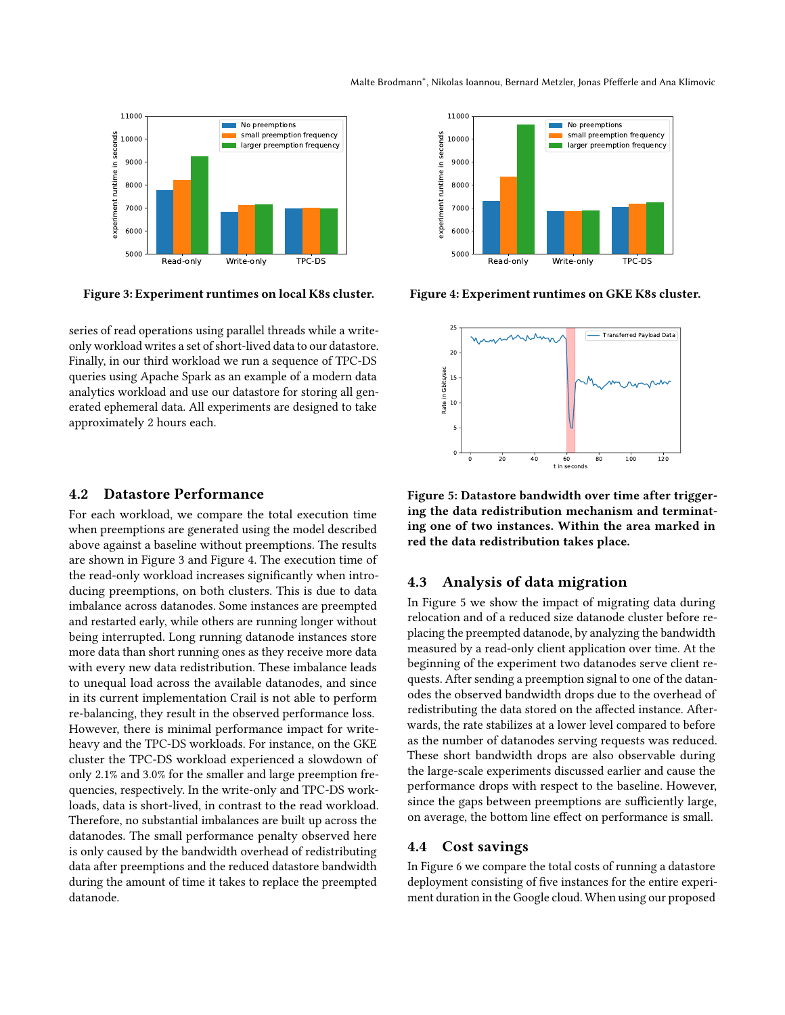<span id="page-3-0"></span>

Figure 3: Experiment runtimes on local K8s cluster.

series of read operations using parallel threads while a writeonly workload writes a set of short-lived data to our datastore. Finally, in our third workload we run a sequence of TPC-DS queries using Apache Spark as an example of a modern data analytics workload and use our datastore for storing all generated ephemeral data. All experiments are designed to take approximately 2 hours each.

## 4.2 Datastore Performance

For each workload, we compare the total execution time when preemptions are generated using the model described above against a baseline without preemptions. The results are shown in Figure [3](#page-3-0) and Figure [4.](#page-3-0) The execution time of the read-only workload increases significantly when introducing preemptions, on both clusters. This is due to data imbalance across datanodes. Some instances are preempted and restarted early, while others are running longer without being interrupted. Long running datanode instances store more data than short running ones as they receive more data with every new data redistribution. These imbalance leads to unequal load across the available datanodes, and since in its current implementation Crail is not able to perform re-balancing, they result in the observed performance loss. However, there is minimal performance impact for writeheavy and the TPC-DS workloads. For instance, on the GKE cluster the TPC-DS workload experienced a slowdown of only 2.1% and 3.0% for the smaller and large preemption frequencies, respectively. In the write-only and TPC-DS workloads, data is short-lived, in contrast to the read workload. Therefore, no substantial imbalances are built up across the datanodes. The small performance penalty observed here is only caused by the bandwidth overhead of redistributing data after preemptions and the reduced datastore bandwidth during the amount of time it takes to replace the preempted datanode.



<span id="page-3-1"></span>Figure 4: Experiment runtimes on GKE K8s cluster.

0 20 40 60 80 100 120 nds 0 5 10 15 20 25 Rate in Gbits/sec Transferred Payload Data

Figure 5: Datastore bandwidth over time after triggering the data redistribution mechanism and terminating one of two instances. Within the area marked in red the data redistribution takes place.

# 4.3 Analysis of data migration

In Figure [5](#page-3-1) we show the impact of migrating data during relocation and of a reduced size datanode cluster before replacing the preempted datanode, by analyzing the bandwidth measured by a read-only client application over time. At the beginning of the experiment two datanodes serve client requests. After sending a preemption signal to one of the datanodes the observed bandwidth drops due to the overhead of redistributing the data stored on the affected instance. Afterwards, the rate stabilizes at a lower level compared to before as the number of datanodes serving requests was reduced. These short bandwidth drops are also observable during the large-scale experiments discussed earlier and cause the performance drops with respect to the baseline. However, since the gaps between preemptions are sufficiently large, on average, the bottom line effect on performance is small.

## 4.4 Cost savings

In Figure [6](#page-4-1) we compare the total costs of running a datastore deployment consisting of five instances for the entire experiment duration in the Google cloud. When using our proposed

#### Malte Brodmann<sup>∗</sup> , Nikolas Ioannou, Bernard Metzler, Jonas Pfefferle and Ana Klimovic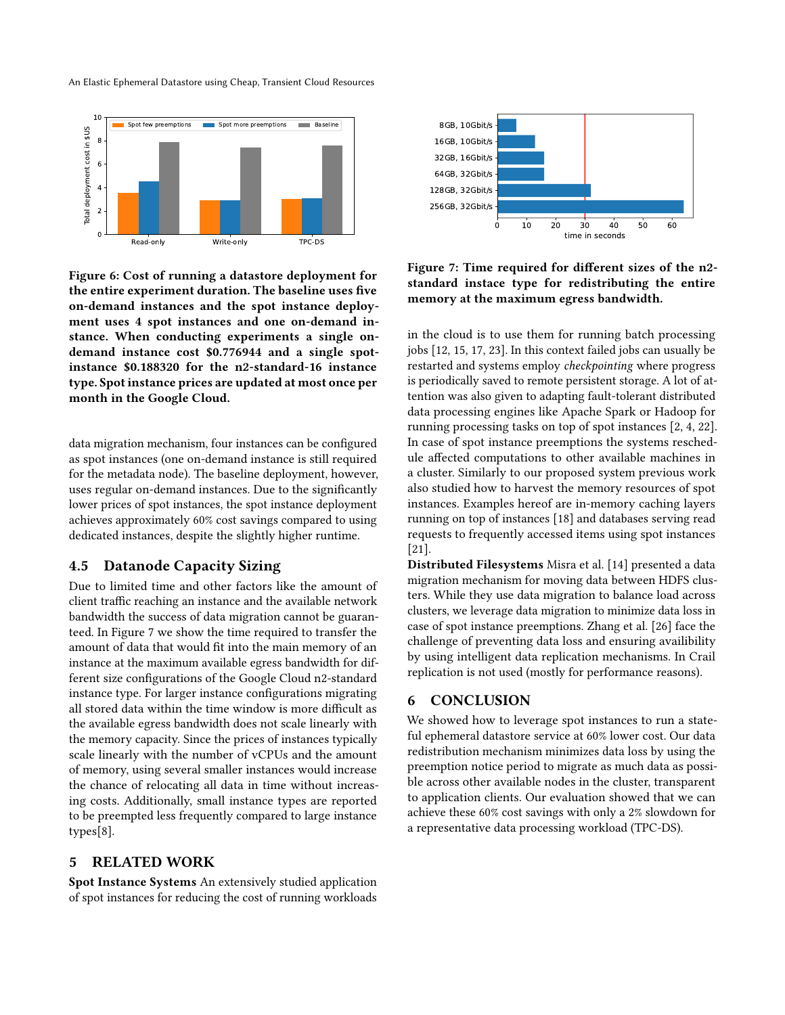An Elastic Ephemeral Datastore using Cheap, Transient Cloud Resources

<span id="page-4-1"></span>

Figure 6: Cost of running a datastore deployment for the entire experiment duration. The baseline uses five on-demand instances and the spot instance deployment uses 4 spot instances and one on-demand instance. When conducting experiments a single ondemand instance cost \$0.776944 and a single spotinstance \$0.188320 for the n2-standard-16 instance type. Spot instance prices are updated at most once per month in the Google Cloud.

data migration mechanism, four instances can be configured as spot instances (one on-demand instance is still required for the metadata node). The baseline deployment, however, uses regular on-demand instances. Due to the significantly lower prices of spot instances, the spot instance deployment achieves approximately 60% cost savings compared to using dedicated instances, despite the slightly higher runtime.

## 4.5 Datanode Capacity Sizing

Due to limited time and other factors like the amount of client traffic reaching an instance and the available network bandwidth the success of data migration cannot be guaranteed. In Figure [7](#page-4-0) we show the time required to transfer the amount of data that would fit into the main memory of an instance at the maximum available egress bandwidth for different size configurations of the Google Cloud n2-standard instance type. For larger instance configurations migrating all stored data within the time window is more difficult as the available egress bandwidth does not scale linearly with the memory capacity. Since the prices of instances typically scale linearly with the number of vCPUs and the amount of memory, using several smaller instances would increase the chance of relocating all data in time without increasing costs. Additionally, small instance types are reported to be preempted less frequently compared to large instance types[\[8\]](#page-5-12).

# 5 RELATED WORK

Spot Instance Systems An extensively studied application of spot instances for reducing the cost of running workloads

<span id="page-4-0"></span>

Figure 7: Time required for different sizes of the n2 standard instace type for redistributing the entire memory at the maximum egress bandwidth.

in the cloud is to use them for running batch processing jobs [\[12,](#page-5-21) [15,](#page-5-6) [17,](#page-5-22) [23\]](#page-5-23). In this context failed jobs can usually be restarted and systems employ checkpointing where progress is periodically saved to remote persistent storage. A lot of attention was also given to adapting fault-tolerant distributed data processing engines like Apache Spark or Hadoop for running processing tasks on top of spot instances [\[2,](#page-5-4) [4,](#page-5-5) [22\]](#page-5-9). In case of spot instance preemptions the systems reschedule affected computations to other available machines in a cluster. Similarly to our proposed system previous work also studied how to harvest the memory resources of spot instances. Examples hereof are in-memory caching layers running on top of instances [\[18\]](#page-5-7) and databases serving read requests to frequently accessed items using spot instances [\[21\]](#page-5-8).

Distributed Filesystems Misra et al. [\[14\]](#page-5-24) presented a data migration mechanism for moving data between HDFS clusters. While they use data migration to balance load across clusters, we leverage data migration to minimize data loss in case of spot instance preemptions. Zhang et al. [\[26\]](#page-5-25) face the challenge of preventing data loss and ensuring availibility by using intelligent data replication mechanisms. In Crail replication is not used (mostly for performance reasons).

## 6 CONCLUSION

We showed how to leverage spot instances to run a stateful ephemeral datastore service at 60% lower cost. Our data redistribution mechanism minimizes data loss by using the preemption notice period to migrate as much data as possible across other available nodes in the cluster, transparent to application clients. Our evaluation showed that we can achieve these 60% cost savings with only a 2% slowdown for a representative data processing workload (TPC-DS).